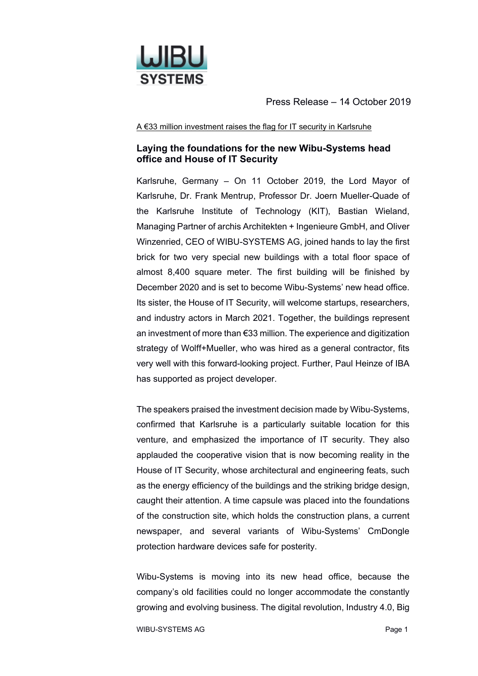

Press Release – 14 October 2019

A €33 million investment raises the flag for IT security in Karlsruhe

## **Laying the foundations for the new Wibu-Systems head office and House of IT Security**

Karlsruhe, Germany – On 11 October 2019, the Lord Mayor of Karlsruhe, Dr. Frank Mentrup, Professor Dr. Joern Mueller-Quade of the Karlsruhe Institute of Technology (KIT), Bastian Wieland, Managing Partner of archis Architekten + Ingenieure GmbH, and Oliver Winzenried, CEO of WIBU-SYSTEMS AG, joined hands to lay the first brick for two very special new buildings with a total floor space of almost 8,400 square meter. The first building will be finished by December 2020 and is set to become Wibu-Systems' new head office. Its sister, the House of IT Security, will welcome startups, researchers, and industry actors in March 2021. Together, the buildings represent an investment of more than €33 million. The experience and digitization strategy of Wolff+Mueller, who was hired as a general contractor, fits very well with this forward-looking project. Further, Paul Heinze of IBA has supported as project developer.

The speakers praised the investment decision made by Wibu-Systems, confirmed that Karlsruhe is a particularly suitable location for this venture, and emphasized the importance of IT security. They also applauded the cooperative vision that is now becoming reality in the House of IT Security, whose architectural and engineering feats, such as the energy efficiency of the buildings and the striking bridge design, caught their attention. A time capsule was placed into the foundations of the construction site, which holds the construction plans, a current newspaper, and several variants of Wibu-Systems' CmDongle protection hardware devices safe for posterity.

Wibu-Systems is moving into its new head office, because the company's old facilities could no longer accommodate the constantly growing and evolving business. The digital revolution, Industry 4.0, Big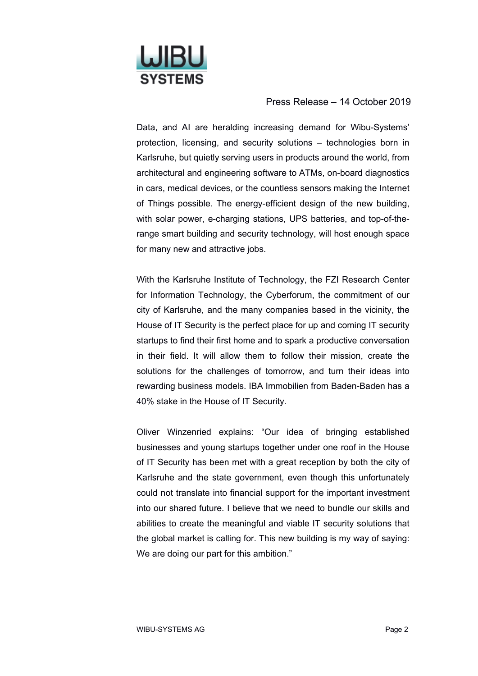

## Press Release – 14 October 2019

Data, and AI are heralding increasing demand for Wibu-Systems' protection, licensing, and security solutions – technologies born in Karlsruhe, but quietly serving users in products around the world, from architectural and engineering software to ATMs, on-board diagnostics in cars, medical devices, or the countless sensors making the Internet of Things possible. The energy-efficient design of the new building, with solar power, e-charging stations, UPS batteries, and top-of-therange smart building and security technology, will host enough space for many new and attractive jobs.

With the Karlsruhe Institute of Technology, the FZI Research Center for Information Technology, the Cyberforum, the commitment of our city of Karlsruhe, and the many companies based in the vicinity, the House of IT Security is the perfect place for up and coming IT security startups to find their first home and to spark a productive conversation in their field. It will allow them to follow their mission, create the solutions for the challenges of tomorrow, and turn their ideas into rewarding business models. IBA Immobilien from Baden-Baden has a 40% stake in the House of IT Security.

Oliver Winzenried explains: "Our idea of bringing established businesses and young startups together under one roof in the House of IT Security has been met with a great reception by both the city of Karlsruhe and the state government, even though this unfortunately could not translate into financial support for the important investment into our shared future. I believe that we need to bundle our skills and abilities to create the meaningful and viable IT security solutions that the global market is calling for. This new building is my way of saying: We are doing our part for this ambition."